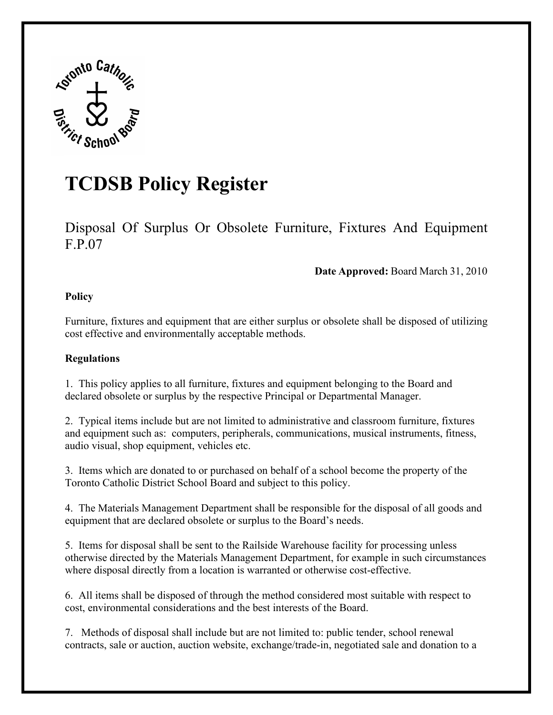

## **TCDSB Policy Register**

Disposal Of Surplus Or Obsolete Furniture, Fixtures And Equipment F.P.07

## **Date Approved:** Board March 31, 2010

## **Policy**

Furniture, fixtures and equipment that are either surplus or obsolete shall be disposed of utilizing cost effective and environmentally acceptable methods.

## **Regulations**

1. This policy applies to all furniture, fixtures and equipment belonging to the Board and declared obsolete or surplus by the respective Principal or Departmental Manager.

2. Typical items include but are not limited to administrative and classroom furniture, fixtures and equipment such as: computers, peripherals, communications, musical instruments, fitness, audio visual, shop equipment, vehicles etc.

3. Items which are donated to or purchased on behalf of a school become the property of the Toronto Catholic District School Board and subject to this policy.

4. The Materials Management Department shall be responsible for the disposal of all goods and equipment that are declared obsolete or surplus to the Board's needs.

5. Items for disposal shall be sent to the Railside Warehouse facility for processing unless otherwise directed by the Materials Management Department, for example in such circumstances where disposal directly from a location is warranted or otherwise cost-effective.

6. All items shall be disposed of through the method considered most suitable with respect to cost, environmental considerations and the best interests of the Board.

7. Methods of disposal shall include but are not limited to: public tender, school renewal contracts, sale or auction, auction website, exchange/trade-in, negotiated sale and donation to a